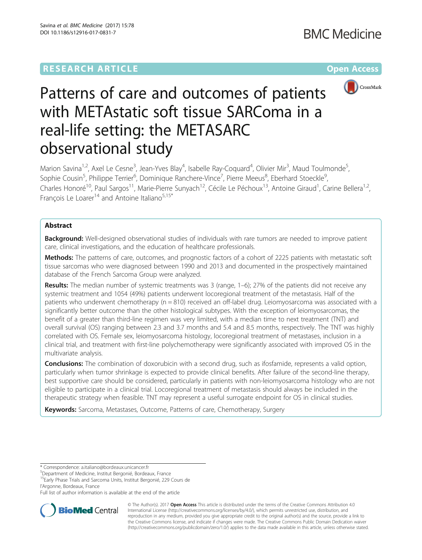# **RESEARCH ARTICLE Example 2014 12:30 The Community Community Community Community Community Community Community**



# Patterns of care and outcomes of patients with METAstatic soft tissue SARComa in a real-life setting: the METASARC observational study

Marion Savina<sup>1,2</sup>, Axel Le Cesne<sup>3</sup>, Jean-Yves Blay<sup>4</sup>, Isabelle Ray-Coquard<sup>4</sup>, Olivier Mir<sup>3</sup>, Maud Toulmonde<sup>5</sup> , Sophie Cousin<sup>5</sup>, Philippe Terrier<sup>6</sup>, Dominique Ranchere-Vince<sup>7</sup>, Pierre Meeus<sup>8</sup>, Eberhard Stoeckle<sup>9</sup> , Charles Honoré<sup>10</sup>, Paul Sargos<sup>11</sup>, Marie-Pierre Sunyach<sup>12</sup>, Cécile Le Péchoux<sup>13</sup>, Antoine Giraud<sup>1</sup>, Carine Bellera<sup>1,2</sup>, François Le Loarer<sup>14</sup> and Antoine Italiano<sup>5,15\*</sup>

# Abstract

**Background:** Well-designed observational studies of individuals with rare tumors are needed to improve patient care, clinical investigations, and the education of healthcare professionals.

Methods: The patterns of care, outcomes, and prognostic factors of a cohort of 2225 patients with metastatic soft tissue sarcomas who were diagnosed between 1990 and 2013 and documented in the prospectively maintained database of the French Sarcoma Group were analyzed.

Results: The median number of systemic treatments was 3 (range, 1–6); 27% of the patients did not receive any systemic treatment and 1054 (49%) patients underwent locoregional treatment of the metastasis. Half of the patients who underwent chemotherapy (n = 810) received an off-label drug. Leiomyosarcoma was associated with a significantly better outcome than the other histological subtypes. With the exception of leiomyosarcomas, the benefit of a greater than third-line regimen was very limited, with a median time to next treatment (TNT) and overall survival (OS) ranging between 2.3 and 3.7 months and 5.4 and 8.5 months, respectively. The TNT was highly correlated with OS. Female sex, leiomyosarcoma histology, locoregional treatment of metastases, inclusion in a clinical trial, and treatment with first-line polychemotherapy were significantly associated with improved OS in the multivariate analysis.

**Conclusions:** The combination of doxorubicin with a second drug, such as ifosfamide, represents a valid option, particularly when tumor shrinkage is expected to provide clinical benefits. After failure of the second-line therapy, best supportive care should be considered, particularly in patients with non-leiomyosarcoma histology who are not eligible to participate in a clinical trial. Locoregional treatment of metastasis should always be included in the therapeutic strategy when feasible. TNT may represent a useful surrogate endpoint for OS in clinical studies.

Keywords: Sarcoma, Metastases, Outcome, Patterns of care, Chemotherapy, Surgery

\* Correspondence: [a.italiano@bordeaux.unicancer.fr](mailto:a.italiano@bordeaux.unicancer.fr) <sup>5</sup>

<sup>15</sup>Early Phase Trials and Sarcoma Units, Institut Bergonié, 229 Cours de l'Argonne, Bordeaux, France

Full list of author information is available at the end of the article



© The Author(s). 2017 **Open Access** This article is distributed under the terms of the Creative Commons Attribution 4.0 International License [\(http://creativecommons.org/licenses/by/4.0/](http://creativecommons.org/licenses/by/4.0/)), which permits unrestricted use, distribution, and reproduction in any medium, provided you give appropriate credit to the original author(s) and the source, provide a link to the Creative Commons license, and indicate if changes were made. The Creative Commons Public Domain Dedication waiver [\(http://creativecommons.org/publicdomain/zero/1.0/](http://creativecommons.org/publicdomain/zero/1.0/)) applies to the data made available in this article, unless otherwise stated.

<sup>&</sup>lt;sup>5</sup>Department of Medicine, Institut Bergonié, Bordeaux, France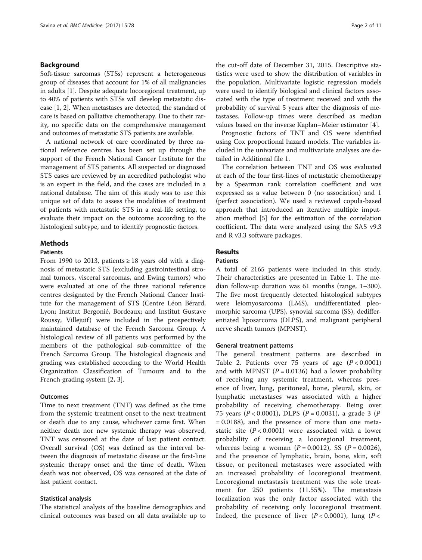## Background

Soft-tissue sarcomas (STSs) represent a heterogeneous group of diseases that account for 1% of all malignancies in adults [\[1\]](#page-9-0). Despite adequate locoregional treatment, up to 40% of patients with STSs will develop metastatic disease [\[1](#page-9-0), [2](#page-9-0)]. When metastases are detected, the standard of care is based on palliative chemotherapy. Due to their rarity, no specific data on the comprehensive management and outcomes of metastatic STS patients are available.

A national network of care coordinated by three national reference centres has been set up through the support of the French National Cancer Institute for the management of STS patients. All suspected or diagnosed STS cases are reviewed by an accredited pathologist who is an expert in the field, and the cases are included in a national database. The aim of this study was to use this unique set of data to assess the modalities of treatment of patients with metastatic STS in a real-life setting, to evaluate their impact on the outcome according to the histological subtype, and to identify prognostic factors.

## **Methods**

# Patients

From 1990 to 2013, patients  $\geq 18$  years old with a diagnosis of metastatic STS (excluding gastrointestinal stromal tumors, visceral sarcomas, and Ewing tumors) who were evaluated at one of the three national reference centres designated by the French National Cancer Institute for the management of STS (Centre Léon Bérard, Lyon; Institut Bergonié, Bordeaux; and Institut Gustave Roussy, Villejuif) were included in the prospectively maintained database of the French Sarcoma Group. A histological review of all patients was performed by the members of the pathological sub-committee of the French Sarcoma Group. The histological diagnosis and grading was established according to the World Health Organization Classification of Tumours and to the French grading system [\[2](#page-9-0), [3](#page-9-0)].

#### **Outcomes**

Time to next treatment (TNT) was defined as the time from the systemic treatment onset to the next treatment or death due to any cause, whichever came first. When neither death nor new systemic therapy was observed, TNT was censored at the date of last patient contact. Overall survival (OS) was defined as the interval between the diagnosis of metastatic disease or the first-line systemic therapy onset and the time of death. When death was not observed, OS was censored at the date of last patient contact.

#### Statistical analysis

The statistical analysis of the baseline demographics and clinical outcomes was based on all data available up to the cut-off date of December 31, 2015. Descriptive statistics were used to show the distribution of variables in the population. Multivariate logistic regression models were used to identify biological and clinical factors associated with the type of treatment received and with the probability of survival 5 years after the diagnosis of metastases. Follow-up times were described as median values based on the inverse Kaplan–Meier estimator [[4\]](#page-9-0).

Prognostic factors of TNT and OS were identified using Cox proportional hazard models. The variables included in the univariate and multivariate analyses are detailed in Additional file [1](#page-9-0).

The correlation between TNT and OS was evaluated at each of the four first-lines of metastatic chemotherapy by a Spearman rank correlation coefficient and was expressed as a value between 0 (no association) and 1 (perfect association). We used a reviewed copula-based approach that introduced an iterative multiple imputation method [\[5](#page-9-0)] for the estimation of the correlation coefficient. The data were analyzed using the SAS v9.3 and R v3.3 software packages.

# Results

#### **Patients**

A total of 2165 patients were included in this study. Their characteristics are presented in Table [1](#page-2-0). The median follow-up duration was 61 months (range, 1–300). The five most frequently detected histological subtypes were leiomyosarcoma (LMS), undifferentiated pleomorphic sarcoma (UPS), synovial sarcoma (SS), dedifferentiated liposarcoma (DLPS), and malignant peripheral nerve sheath tumors (MPNST).

#### General treatment patterns

The general treatment patterns are described in Table [2.](#page-3-0) Patients over 75 years of age  $(P < 0.0001)$ and with MPNST ( $P = 0.0136$ ) had a lower probability of receiving any systemic treatment, whereas presence of liver, lung, peritoneal, bone, pleural, skin, or lymphatic metastases was associated with a higher probability of receiving chemotherapy. Being over 75 years ( $P < 0.0001$ ), DLPS ( $P = 0.0031$ ), a grade 3 ( $P$ = 0.0188), and the presence of more than one metastatic site  $(P < 0.0001)$  were associated with a lower probability of receiving a locoregional treatment, whereas being a woman  $(P = 0.0012)$ , SS  $(P = 0.0026)$ , and the presence of lymphatic, brain, bone, skin, soft tissue, or peritoneal metastases were associated with an increased probability of locoregional treatment. Locoregional metastasis treatment was the sole treatment for 250 patients (11.55%). The metastasis localization was the only factor associated with the probability of receiving only locoregional treatment. Indeed, the presence of liver  $(P < 0.0001)$ , lung  $(P < 0.0001)$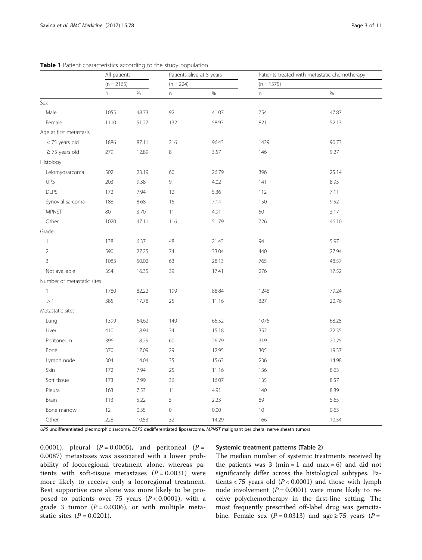|                            | All patients |       |                     | Patients alive at 5 years |              | Patients treated with metastatic chemotherapy |  |
|----------------------------|--------------|-------|---------------------|---------------------------|--------------|-----------------------------------------------|--|
|                            | $(n = 2165)$ |       | $(n = 224)$         |                           | $(n = 1575)$ |                                               |  |
|                            | n            | $\%$  | n                   | $\%$                      | n            | $\%$                                          |  |
| Sex                        |              |       |                     |                           |              |                                               |  |
| Male                       | 1055         | 48.73 | 92                  | 41.07                     | 754          | 47.87                                         |  |
| Female                     | 1110         | 51.27 | 132                 | 58.93                     | 821          | 52.13                                         |  |
| Age at first metastasis    |              |       |                     |                           |              |                                               |  |
| < 75 years old             | 1886         | 87.11 | 216                 | 96.43                     | 1429         | 90.73                                         |  |
| $\geq$ 75 years old        | 279          | 12.89 | 8                   | 3.57                      | 146          | 9.27                                          |  |
| Histology                  |              |       |                     |                           |              |                                               |  |
| Leiomyosarcoma             | 502          | 23.19 | 60                  | 26.79                     | 396          | 25.14                                         |  |
| UPS                        | 203          | 9.38  | 9                   | 4.02                      | 141          | 8.95                                          |  |
| <b>DLPS</b>                | 172          | 7.94  | 12                  | 5.36                      | 112          | 7.11                                          |  |
| Synovial sarcoma           | 188          | 8.68  | 16                  | 7.14                      | 150          | 9.52                                          |  |
| <b>MPNST</b>               | $80\,$       | 3.70  | 11                  | 4.91                      | 50           | 3.17                                          |  |
| Other                      | 1020         | 47.11 | 116                 | 51.79                     | 726          | 46.10                                         |  |
| Grade                      |              |       |                     |                           |              |                                               |  |
| $\mathbf{1}$               | 138          | 6.37  | 48                  | 21.43                     | 94           | 5.97                                          |  |
| $\overline{2}$             | 590          | 27.25 | 74                  | 33.04                     | 440          | 27.94                                         |  |
| 3                          | 1083         | 50.02 | 63                  | 28.13                     | 765          | 48.57                                         |  |
| Not available              | 354          | 16.35 | 39                  | 17.41                     | 276          | 17.52                                         |  |
| Number of metastatic sites |              |       |                     |                           |              |                                               |  |
| $\mathbf{1}$               | 1780         | 82.22 | 199                 | 88.84                     | 1248         | 79.24                                         |  |
| >1                         | 385          | 17.78 | 25                  | 11.16                     | 327          | 20.76                                         |  |
| Metastatic sites           |              |       |                     |                           |              |                                               |  |
| Lung                       | 1399         | 64.62 | 149                 | 66.52                     | 1075         | 68.25                                         |  |
| Liver                      | 410          | 18.94 | 34                  | 15.18                     | 352          | 22.35                                         |  |
| Peritoneum                 | 396          | 18.29 | 60                  | 26.79                     | 319          | 20.25                                         |  |
| Bone                       | 370          | 17.09 | 29                  | 12.95                     | 305          | 19.37                                         |  |
| Lymph node                 | 304          | 14.04 | 35                  | 15.63                     | 236          | 14.98                                         |  |
| Skin                       | 172          | 7.94  | 25                  | 11.16                     | 136          | 8.63                                          |  |
| Soft tissue                | 173          | 7.99  | 36                  | 16.07                     | 135          | 8.57                                          |  |
| Pleura                     | 163          | 7.53  | 11                  | 4.91                      | 140          | 8.89                                          |  |
| Brain                      | 113          | 5.22  | 5                   | 2.23                      | 89           | 5.65                                          |  |
| Bone marrow                | 12           | 0.55  | $\mathsf{O}\xspace$ | 0.00                      | 10           | 0.63                                          |  |
| Other                      | 228          | 10.53 | 32                  | 14.29                     | 166          | 10.54                                         |  |

<span id="page-2-0"></span>Table 1 Patient characteristics according to the study population

UPS undifferentiated pleomorphic sarcoma, DLPS dedifferentiated liposarcoma, MPNST malignant peripheral nerve sheath tumors

0.0001), pleural  $(P = 0.0005)$ , and peritoneal  $(P = 0.0001)$ 0.0087) metastases was associated with a lower probability of locoregional treatment alone, whereas patients with soft-tissue metastases  $(P = 0.0031)$  were more likely to receive only a locoregional treatment. Best supportive care alone was more likely to be proposed to patients over 75 years  $(P < 0.0001)$ , with a grade 3 tumor ( $P = 0.0306$ ), or with multiple metastatic sites  $(P = 0.0201)$ .

### Systemic treatment patterns (Table [2](#page-3-0))

The median number of systemic treatments received by the patients was 3 (min = 1 and max = 6) and did not significantly differ across the histological subtypes. Patients < 75 years old  $(P < 0.0001)$  and those with lymph node involvement ( $P = 0.0001$ ) were more likely to receive polychemotherapy in the first-line setting. The most frequently prescribed off-label drug was gemcitabine. Female sex ( $P = 0.0313$ ) and age  $\ge 75$  years ( $P =$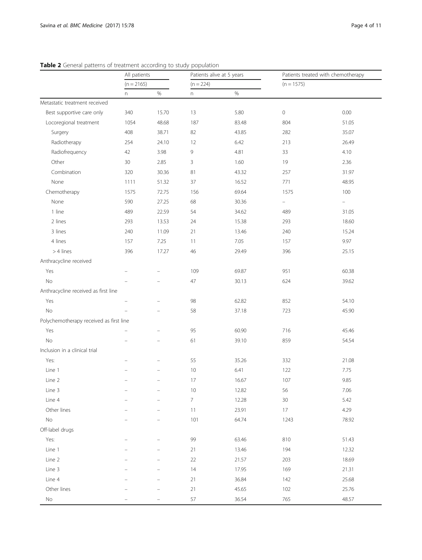|                                         |              | All patients |                | Patients alive at 5 years |                     | Patients treated with chemotherapy |  |
|-----------------------------------------|--------------|--------------|----------------|---------------------------|---------------------|------------------------------------|--|
|                                         | $(n = 2165)$ |              | $(n = 224)$    |                           | $(n = 1575)$        |                                    |  |
|                                         | n            | $\%$         | n              | $\%$                      |                     |                                    |  |
| Metastatic treatment received           |              |              |                |                           |                     |                                    |  |
| Best supportive care only               | 340          | 15.70        | 13             | 5.80                      | $\mathsf{O}\xspace$ | 0.00                               |  |
| Locoregional treatment                  | 1054         | 48.68        | 187            | 83.48                     | 804                 | 51.05                              |  |
| Surgery                                 | 408          | 38.71        | 82             | 43.85                     | 282                 | 35.07                              |  |
| Radiotherapy                            | 254          | 24.10        | 12             | 6.42                      | 213                 | 26.49                              |  |
| Radiofrequency                          | 42           | 3.98         | 9              | 4.81                      | 33                  | 4.10                               |  |
| Other                                   | 30           | 2.85         | 3              | 1.60                      | 19                  | 2.36                               |  |
| Combination                             | 320          | 30.36        | 81             | 43.32                     | 257                 | 31.97                              |  |
| None                                    | 1111         | 51.32        | 37             | 16.52                     | 771                 | 48.95                              |  |
| Chemotherapy                            | 1575         | 72.75        | 156            | 69.64                     | 1575                | 100                                |  |
| None                                    | 590          | 27.25        | 68             | 30.36                     | ÷                   | $\equiv$                           |  |
| 1 line                                  | 489          | 22.59        | 54             | 34.62                     | 489                 | 31.05                              |  |
| 2 lines                                 | 293          | 13.53        | 24             | 15.38                     | 293                 | 18.60                              |  |
| 3 lines                                 | 240          | 11.09        | 21             | 13.46                     | 240                 | 15.24                              |  |
| 4 lines                                 | 157          | 7.25         | 11             | 7.05                      | 157                 | 9.97                               |  |
| > 4 lines                               | 396          | 17.27        | 46             | 29.49                     | 396                 | 25.15                              |  |
| Anthracycline received                  |              |              |                |                           |                     |                                    |  |
| Yes                                     |              |              | 109            | 69.87                     | 951                 | 60.38                              |  |
| No                                      |              |              | 47             | 30.13                     | 624                 | 39.62                              |  |
| Anthracycline received as first line    |              |              |                |                           |                     |                                    |  |
| Yes                                     |              |              | 98             | 62.82                     | 852                 | 54.10                              |  |
| No                                      |              |              | 58             | 37.18                     | 723                 | 45.90                              |  |
| Polychemotherapy received as first line |              |              |                |                           |                     |                                    |  |
| Yes                                     |              |              | 95             | 60.90                     | 716                 | 45.46                              |  |
| No                                      |              |              | 61             | 39.10                     | 859                 | 54.54                              |  |
| Inclusion in a clinical trial           |              |              |                |                           |                     |                                    |  |
| Yes:                                    |              |              | 55             | 35.26                     | 332                 | 21.08                              |  |
| Line 1                                  |              |              | 10             | 6.41                      | 122                 | 7.75                               |  |
| Line 2                                  |              |              | 17             | 16.67                     | 107                 | 9.85                               |  |
| Line 3                                  |              |              | 10             | 12.82                     | 56                  | 7.06                               |  |
| Line 4                                  |              |              | $\overline{7}$ | 12.28                     | $30\,$              | 5.42                               |  |
| Other lines                             |              |              | 11             | 23.91                     | $17\,$              | 4.29                               |  |
| $\rm No$                                |              |              | 101            | 64.74                     | 1243                | 78.92                              |  |
| Off-label drugs                         |              |              |                |                           |                     |                                    |  |
| Yes:                                    | $\equiv$     |              | 99             | 63.46                     | 810                 | 51.43                              |  |
| Line 1                                  |              |              | 21             | 13.46                     | 194                 | 12.32                              |  |
| Line 2                                  |              |              | 22             | 21.57                     | 203                 | 18.69                              |  |
| Line 3                                  |              |              | 14             | 17.95                     | 169                 | 21.31                              |  |
| Line 4                                  |              |              | 21             | 36.84                     | 142                 | 25.68                              |  |
| Other lines                             |              |              | 21             | 45.65                     | 102                 | 25.76                              |  |
| $\rm No$                                |              |              | 57             | 36.54                     | 765                 | 48.57                              |  |

# <span id="page-3-0"></span>Table 2 General patterns of treatment according to study population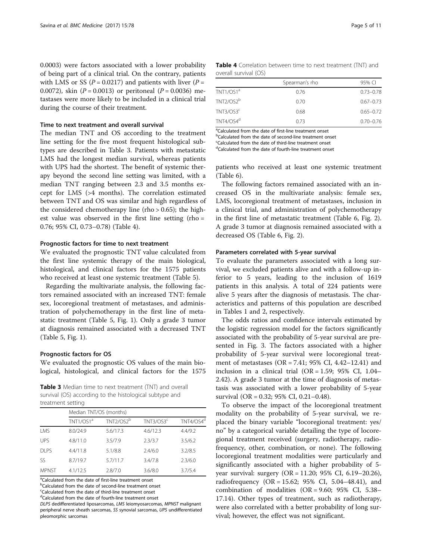0.0003) were factors associated with a lower probability of being part of a clinical trial. On the contrary, patients with LMS or SS ( $P = 0.0217$ ) and patients with liver ( $P =$ 0.0072), skin ( $P = 0.0013$ ) or peritoneal ( $P = 0.0036$ ) metastases were more likely to be included in a clinical trial during the course of their treatment.

#### Time to next treatment and overall survival

The median TNT and OS according to the treatment line setting for the five most frequent histological subtypes are described in Table 3. Patients with metastatic LMS had the longest median survival, whereas patients with UPS had the shortest. The benefit of systemic therapy beyond the second line setting was limited, with a median TNT ranging between 2.3 and 3.5 months except for LMS (>4 months). The correlation estimated between TNT and OS was similar and high regardless of the considered chemotherapy line (rho > 0.65); the highest value was observed in the first line setting (rho = 0.76; 95% CI, 0.73–0.78) (Table 4).

#### Prognostic factors for time to next treatment

We evaluated the prognostic TNT value calculated from the first line systemic therapy of the main biological, histological, and clinical factors for the 1575 patients who received at least one systemic treatment (Table [5\)](#page-5-0).

Regarding the multivariate analysis, the following factors remained associated with an increased TNT: female sex, locoregional treatment of metastases, and administration of polychemotherapy in the first line of metastatic treatment (Table [5,](#page-5-0) Fig. [1\)](#page-5-0). Only a grade 3 tumor at diagnosis remained associated with a decreased TNT (Table [5,](#page-5-0) Fig. [1](#page-5-0)).

#### Prognostic factors for OS

We evaluated the prognostic OS values of the main biological, histological, and clinical factors for the 1575

Table 3 Median time to next treatment (TNT) and overall survival (OS) according to the histological subtype and treatment setting

|              | Median TNT/OS (months) |                       |                       |                       |  |  |  |
|--------------|------------------------|-----------------------|-----------------------|-----------------------|--|--|--|
|              | TNT1/OS1 <sup>a</sup>  | INT2/OS2 <sup>b</sup> | TNT3/OS3 <sup>c</sup> | TNT4/OS4 <sup>d</sup> |  |  |  |
| LMS          | 8.0/24.9               | 5.6/17.3              | 4.6/12.3              | 4.4/9.2               |  |  |  |
| <b>UPS</b>   | 4.8/11.0               | 3.5/7.9               | 2.3/3.7               | 3.5/6.2               |  |  |  |
| DI PS        | 4.4/11.8               | 5.1/8.8               | 2.4/6.0               | 3.2/8.5               |  |  |  |
| SS           | 8.7/19.7               | 5.7/11.7              | 3.4/7.8               | 2.3/6.0               |  |  |  |
| <b>MPNST</b> | 4.1/12.5               | 2.8/7.0               | 3.6/8.0               | 3.7/5.4               |  |  |  |

<sup>a</sup>Calculated from the date of first-line treatment onset

<sup>b</sup>Calculated from the date of second-line treatment onset

<sup>c</sup>Calculated from the date of third-line treatment onset

<sup>d</sup>Calculated from the date of fourth-line treatment onset

DLPS dedifferentiated liposarcomas, LMS leiomyosarcomas, MPNST malignant peripheral nerve sheath sarcomas, SS synovial sarcomas, UPS undifferentiated pleomorphic sarcomas

| <b>Table 4</b> Correlation between time to next treatment (TNT) and |  |  |  |
|---------------------------------------------------------------------|--|--|--|
| overall survival (OS)                                               |  |  |  |

|                       | Spearman's rho | 95% CI        |
|-----------------------|----------------|---------------|
| TNT1/OS1 <sup>a</sup> | 0.76           | $0.73 - 0.78$ |
| TNT2/OS2 <sup>b</sup> | 0.70           | $0.67 - 0.73$ |
| TNT3/OS3 <sup>c</sup> | 0.68           | $0.65 - 0.72$ |
| TNT4/OS4 <sup>d</sup> | 0.73           | $0.70 - 0.76$ |

<sup>a</sup>Calculated from the date of first-line treatment onset

**bCalculated from the date of second-line treatment onset** 

<sup>c</sup>Calculated from the date of third-line treatment onset

<sup>d</sup>Calculated from the date of fourth-line treatment onset

patients who received at least one systemic treatment (Table [6\)](#page-6-0).

The following factors remained associated with an increased OS in the multivariate analysis: female sex, LMS, locoregional treatment of metastases, inclusion in a clinical trial, and administration of polychemotherapy in the first line of metastatic treatment (Table [6,](#page-6-0) Fig. [2](#page-7-0)). A grade 3 tumor at diagnosis remained associated with a decreased OS (Table [6,](#page-6-0) Fig. [2](#page-7-0)).

#### Parameters correlated with 5-year survival

To evaluate the parameters associated with a long survival, we excluded patients alive and with a follow-up inferior to 5 years, leading to the inclusion of 1619 patients in this analysis. A total of 224 patients were alive 5 years after the diagnosis of metastasis. The characteristics and patterns of this population are described in Tables [1](#page-2-0) and [2](#page-3-0), respectively.

The odds ratios and confidence intervals estimated by the logistic regression model for the factors significantly associated with the probability of 5-year survival are presented in Fig. [3](#page-7-0). The factors associated with a higher probability of 5-year survival were locoregional treatment of metastases (OR = 7.41; 95% CI, 4.42–12.41) and inclusion in a clinical trial  $(OR = 1.59; 95\% \text{ CI}, 1.04-$ 2.42). A grade 3 tumor at the time of diagnosis of metastasis was associated with a lower probability of 5-year survival (OR = 0.32; 95% CI, 0.21–0.48).

To observe the impact of the locoregional treatment modality on the probability of 5-year survival, we replaced the binary variable "locoregional treatment: yes/ no" by a categorical variable detailing the type of locoregional treatment received (surgery, radiotherapy, radiofrequency, other, combination, or none). The following locoregional treatment modalities were particularly and significantly associated with a higher probability of 5 year survival: surgery (OR = 11.20; 95% CI, 6.19–20.26), radiofrequency (OR = 15.62; 95% CI, 5.04–48.41), and combination of modalities ( $OR = 9.60$ ;  $95\%$  CI,  $5.38-$ 17.14). Other types of treatment, such as radiotherapy, were also correlated with a better probability of long survival; however, the effect was not significant.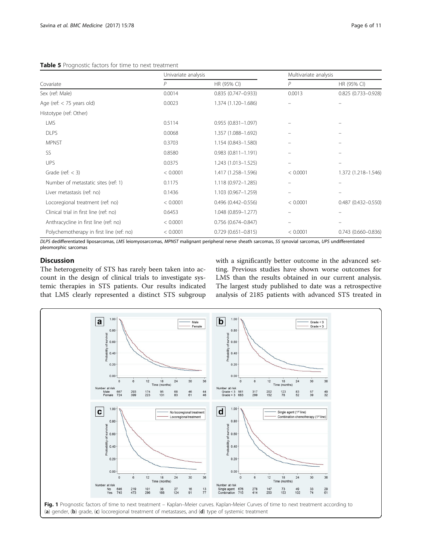#### <span id="page-5-0"></span>Table 5 Prognostic factors for time to next treatment

|                                          | Univariate analysis |                        | Multivariate analysis |                        |  |
|------------------------------------------|---------------------|------------------------|-----------------------|------------------------|--|
| Covariate                                | P                   | HR (95% CI)            | P                     | HR (95% CI)            |  |
| Sex (ref: Male)                          | 0.0014              | $0.835(0.747 - 0.933)$ | 0.0013                | $0.825(0.733 - 0.928)$ |  |
| Age (ref: $<$ 75 years old)              | 0.0023              | 1.374 (1.120-1.686)    |                       |                        |  |
| Histotype (ref: Other)                   |                     |                        |                       |                        |  |
| LMS                                      | 0.5114              | $0.955(0.831 - 1.097)$ |                       |                        |  |
| <b>DLPS</b>                              | 0.0068              | 1.357 (1.088-1.692)    |                       |                        |  |
| <b>MPNST</b>                             | 0.3703              | 1.154 (0.843-1.580)    |                       |                        |  |
| SS                                       | 0.8580              | $0.983(0.811 - 1.191)$ |                       |                        |  |
| <b>UPS</b>                               | 0.0375              | 1.243 (1.013-1.525)    |                       |                        |  |
| Grade (ref: $<$ 3)                       | < 0.0001            | 1.417 (1.258-1.596)    | < 0.0001              | 1.372 (1.218-1.546)    |  |
| Number of metastatic sites (ref: 1)      | 0.1175              | 1.118 (0.972-1.285)    |                       |                        |  |
| Liver metastasis (ref: no)               | 0.1436              | 1.103 (0.967-1.259)    |                       |                        |  |
| Locoregional treatment (ref: no)         | < 0.0001            | $0.496(0.442 - 0.556)$ | < 0.0001              | $0.487$ (0.432-0.550)  |  |
| Clinical trial in first line (ref: no)   | 0.6453              | 1.048 (0.859-1.277)    |                       |                        |  |
| Anthracycline in first line (ref: no)    | < 0.0001            | 0.756 (0.674-0.847)    |                       |                        |  |
| Polychemotherapy in first line (ref: no) | < 0.0001            | $0.729(0.651 - 0.815)$ | < 0.0001              | $0.743(0.660 - 0.836)$ |  |

DLPS dedifferentiated liposarcomas, LMS leiomyosarcomas, MPNST malignant peripheral nerve sheath sarcomas, SS synovial sarcomas, UPS undifferentiated pleomorphic sarcomas

# Discussion

The heterogeneity of STS has rarely been taken into account in the design of clinical trials to investigate systemic therapies in STS patients. Our results indicated that LMS clearly represented a distinct STS subgroup with a significantly better outcome in the advanced setting. Previous studies have shown worse outcomes for LMS than the results obtained in our current analysis. The largest study published to date was a retrospective analysis of 2185 patients with advanced STS treated in

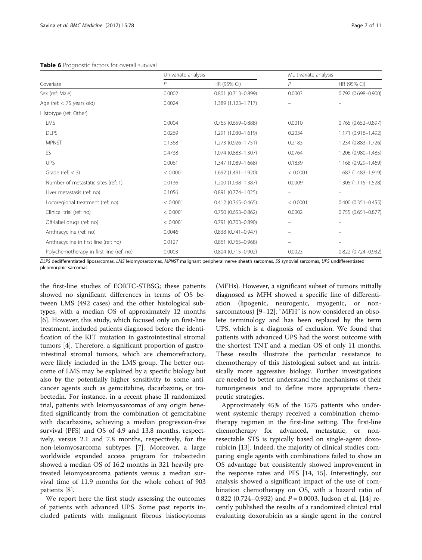#### <span id="page-6-0"></span>Table 6 Prognostic factors for overall survival

|                                          | Univariate analysis |                        | Multivariate analysis |                        |  |
|------------------------------------------|---------------------|------------------------|-----------------------|------------------------|--|
| Covariate                                | P                   | HR (95% CI)            | P                     | HR (95% CI)            |  |
| Sex (ref: Male)                          | 0.0002              | $0.801(0.713 - 0.899)$ | 0.0003                | 0.792 (0.698-0.900)    |  |
| Age (ref: < 75 years old)                | 0.0024              | 1.389 (1.123-1.717)    |                       |                        |  |
| Histotype (ref: Other)                   |                     |                        |                       |                        |  |
| LMS                                      | 0.0004              | $0.765(0.659 - 0.888)$ | 0.0010                | 0.765 (0.652-0.897)    |  |
| <b>DLPS</b>                              | 0.0269              | 1.291 (1.030-1.619)    | 0.2034                | 1.171 (0.918-1.492)    |  |
| <b>MPNST</b>                             | 0.1368              | 1.273 (0.926-1.751)    | 0.2183                | 1.234 (0.883-1.726)    |  |
| SS                                       | 0.4738              | 1.074 (0.883-1.307)    | 0.0764                | 1.206 (0.980-1.485)    |  |
| <b>UPS</b>                               | 0.0061              | 1.347 (1.089-1.668)    | 0.1839                | 1.168 (0.929-1.469)    |  |
| Grade (ref: $<$ 3)                       | < 0.0001            | 1.692 (1.491-1.920)    | < 0.0001              | 1.687 (1.483-1.919)    |  |
| Number of metastatic sites (ref: 1)      | 0.0136              | 1.200 (1.038-1.387)    | 0.0009                | 1.305 (1.115-1.528)    |  |
| Liver metastasis (ref: no)               | 0.1056              | $0.891(0.774 - 1.025)$ |                       |                        |  |
| Locoregional treatment (ref: no)         | < 0.0001            | $0.412(0.365 - 0.465)$ | < 0.0001              | $0.400(0.351 - 0.455)$ |  |
| Clinical trial (ref: no)                 | < 0.0001            | $0.750(0.653 - 0.862)$ | 0.0002                | $0.755(0.651 - 0.877)$ |  |
| Off-label drugs (ref: no)                | < 0.0001            | $0.791(0.703 - 0.890)$ |                       |                        |  |
| Anthracycline (ref: no)                  | 0.0046              | $0.838(0.741 - 0.947)$ |                       |                        |  |
| Anthracycline in first line (ref: no)    | 0.0127              | $0.861(0.765 - 0.968)$ | -                     |                        |  |
| Polychemotherapy in first line (ref: no) | 0.0003              | $0.804(0.715 - 0.902)$ | 0.0023                | 0.822 (0.724-0.932)    |  |

DLPS dedifferentiated liposarcomas, LMS leiomyosarcomas, MPNST malignant peripheral nerve sheath sarcomas, SS synovial sarcomas, UPS undifferentiated pleomorphic sarcomas

the first-line studies of EORTC-STBSG; these patients showed no significant differences in terms of OS between LMS (492 cases) and the other histological subtypes, with a median OS of approximately 12 months [[6\]](#page-10-0). However, this study, which focused only on first-line treatment, included patients diagnosed before the identification of the KIT mutation in gastrointestinal stromal tumors [\[4](#page-9-0)]. Therefore, a significant proportion of gastrointestinal stromal tumors, which are chemorefractory, were likely included in the LMS group. The better outcome of LMS may be explained by a specific biology but also by the potentially higher sensitivity to some anticancer agents such as gemcitabine, dacarbazine, or trabectedin. For instance, in a recent phase II randomized trial, patients with leiomyosarcomas of any origin benefited significantly from the combination of gemcitabine with dacarbazine, achieving a median progression-free survival (PFS) and OS of 4.9 and 13.8 months, respectively, versus 2.1 and 7.8 months, respectively, for the non-leiomyosarcoma subtypes [\[7](#page-10-0)]. Moreover, a large worldwide expanded access program for trabectedin showed a median OS of 16.2 months in 321 heavily pretreated leiomyosarcoma patients versus a median survival time of 11.9 months for the whole cohort of 903 patients [\[8\]](#page-10-0).

We report here the first study assessing the outcomes of patients with advanced UPS. Some past reports included patients with malignant fibrous histiocytomas

(MFHs). However, a significant subset of tumors initially diagnosed as MFH showed a specific line of differentiation (lipogenic, neurogenic, myogenic, or nonsarcomatous) [\[9](#page-10-0)–[12](#page-10-0)]. "MFH" is now considered an obsolete terminology and has been replaced by the term UPS, which is a diagnosis of exclusion. We found that patients with advanced UPS had the worst outcome with the shortest TNT and a median OS of only 11 months. These results illustrate the particular resistance to chemotherapy of this histological subset and an intrinsically more aggressive biology. Further investigations are needed to better understand the mechanisms of their tumorigenesis and to define more appropriate therapeutic strategies.

Approximately 45% of the 1575 patients who underwent systemic therapy received a combination chemotherapy regimen in the first-line setting. The first-line chemotherapy for advanced, metastatic, or nonresectable STS is typically based on single-agent doxorubicin [[13\]](#page-10-0). Indeed, the majority of clinical studies comparing single agents with combinations failed to show an OS advantage but consistently showed improvement in the response rates and PFS [\[14, 15\]](#page-10-0). Interestingly, our analysis showed a significant impact of the use of combination chemotherapy on OS, with a hazard ratio of 0.822 (0.724–0.932) and  $P = 0.0003$ . Judson et al. [[14\]](#page-10-0) recently published the results of a randomized clinical trial evaluating doxorubicin as a single agent in the control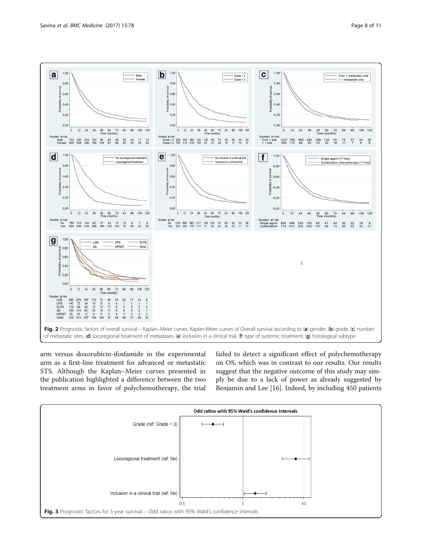<span id="page-7-0"></span>

arm versus doxorubicin-ifosfamide in the experimental arm as a first-line treatment for advanced or metastatic STS. Although the Kaplan–Meier curves presented in the publication highlighted a difference between the two treatment arms in favor of polychemotherapy, the trial failed to detect a significant effect of polychemotherapy on OS, which was in contrast to our results. Our results suggest that the negative outcome of this study may simply be due to a lack of power as already suggested by Benjamin and Lee [\[16](#page-10-0)]. Indeed, by including 450 patients

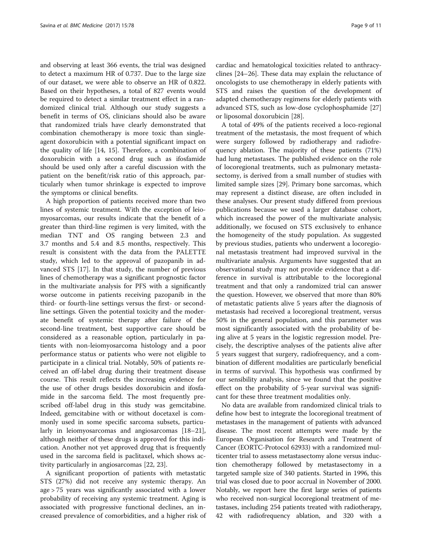and observing at least 366 events, the trial was designed to detect a maximum HR of 0.737. Due to the large size of our dataset, we were able to observe an HR of 0.822. Based on their hypotheses, a total of 827 events would be required to detect a similar treatment effect in a randomized clinical trial. Although our study suggests a benefit in terms of OS, clinicians should also be aware that randomized trials have clearly demonstrated that combination chemotherapy is more toxic than singleagent doxorubicin with a potential significant impact on the quality of life [[14, 15\]](#page-10-0). Therefore, a combination of doxorubicin with a second drug such as ifosfamide should be used only after a careful discussion with the patient on the benefit/risk ratio of this approach, particularly when tumor shrinkage is expected to improve the symptoms or clinical benefits.

A high proportion of patients received more than two lines of systemic treatment. With the exception of leiomyosarcomas, our results indicate that the benefit of a greater than third-line regimen is very limited, with the median TNT and OS ranging between 2.3 and 3.7 months and 5.4 and 8.5 months, respectively. This result is consistent with the data from the PALETTE study, which led to the approval of pazopanib in advanced STS [\[17](#page-10-0)]. In that study, the number of previous lines of chemotherapy was a significant prognostic factor in the multivariate analysis for PFS with a significantly worse outcome in patients receiving pazopanib in the third- or fourth-line settings versus the first- or secondline settings. Given the potential toxicity and the moderate benefit of systemic therapy after failure of the second-line treatment, best supportive care should be considered as a reasonable option, particularly in patients with non-leiomyosarcoma histology and a poor performance status or patients who were not eligible to participate in a clinical trial. Notably, 50% of patients received an off-label drug during their treatment disease course. This result reflects the increasing evidence for the use of other drugs besides doxorubicin and ifosfamide in the sarcoma field. The most frequently prescribed off-label drug in this study was gemcitabine. Indeed, gemcitabine with or without docetaxel is commonly used in some specific sarcoma subsets, particularly in leiomyosarcomas and angiosarcomas [[18](#page-10-0)–[21](#page-10-0)], although neither of these drugs is approved for this indication. Another not yet approved drug that is frequently used in the sarcoma field is paclitaxel, which shows activity particularly in angiosarcomas [\[22](#page-10-0), [23](#page-10-0)].

A significant proportion of patients with metastatic STS (27%) did not receive any systemic therapy. An age > 75 years was significantly associated with a lower probability of receiving any systemic treatment. Aging is associated with progressive functional declines, an increased prevalence of comorbidities, and a higher risk of cardiac and hematological toxicities related to anthracyclines [\[24](#page-10-0)–[26\]](#page-10-0). These data may explain the reluctance of oncologists to use chemotherapy in elderly patients with STS and raises the question of the development of adapted chemotherapy regimens for elderly patients with advanced STS, such as low-dose cyclophosphamide [[27](#page-10-0)] or liposomal doxorubicin [\[28](#page-10-0)].

A total of 49% of the patients received a loco-regional treatment of the metastasis, the most frequent of which were surgery followed by radiotherapy and radiofrequency ablation. The majority of these patients (71%) had lung metastases. The published evidence on the role of locoregional treatments, such as pulmonary metastasectomy, is derived from a small number of studies with limited sample sizes [[29](#page-10-0)]. Primary bone sarcomas, which may represent a distinct disease, are often included in these analyses. Our present study differed from previous publications because we used a larger database cohort, which increased the power of the multivariate analysis; additionally, we focused on STS exclusively to enhance the homogeneity of the study population. As suggested by previous studies, patients who underwent a locoregional metastasis treatment had improved survival in the multivariate analysis. Arguments have suggested that an observational study may not provide evidence that a difference in survival is attributable to the locoregional treatment and that only a randomized trial can answer the question. However, we observed that more than 80% of metastatic patients alive 5 years after the diagnosis of metastasis had received a locoregional treatment, versus 50% in the general population, and this parameter was most significantly associated with the probability of being alive at 5 years in the logistic regression model. Precisely, the descriptive analyses of the patients alive after 5 years suggest that surgery, radiofrequency, and a combination of different modalities are particularly beneficial in terms of survival. This hypothesis was confirmed by our sensibility analysis, since we found that the positive effect on the probability of 5-year survival was significant for these three treatment modalities only.

No data are available from randomized clinical trials to define how best to integrate the locoregional treatment of metastases in the management of patients with advanced disease. The most recent attempts were made by the European Organisation for Research and Treatment of Cancer (EORTC-Protocol 62933) with a randomized multicenter trial to assess metastasectomy alone versus induction chemotherapy followed by metastasectomy in a targeted sample size of 340 patients. Started in 1996, this trial was closed due to poor accrual in November of 2000. Notably, we report here the first large series of patients who received non-surgical locoregional treatment of metastases, including 254 patients treated with radiotherapy, 42 with radiofrequency ablation, and 320 with a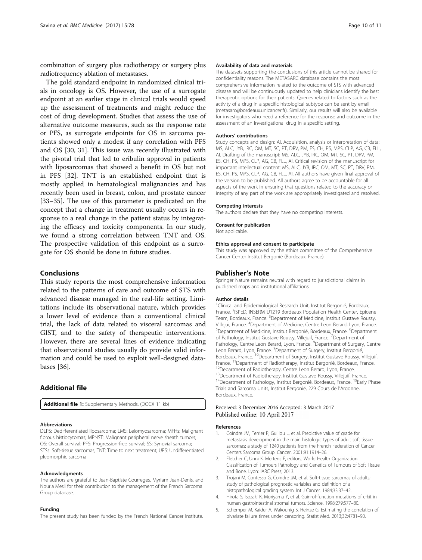<span id="page-9-0"></span>combination of surgery plus radiotherapy or surgery plus radiofrequency ablation of metastases.

The gold standard endpoint in randomized clinical trials in oncology is OS. However, the use of a surrogate endpoint at an earlier stage in clinical trials would speed up the assessment of treatments and might reduce the cost of drug development. Studies that assess the use of alternative outcome measures, such as the response rate or PFS, as surrogate endpoints for OS in sarcoma patients showed only a modest if any correlation with PFS and OS [[30](#page-10-0), [31\]](#page-10-0). This issue was recently illustrated with the pivotal trial that led to eribulin approval in patients with liposarcomas that showed a benefit in OS but not in PFS [[32\]](#page-10-0). TNT is an established endpoint that is mostly applied in hematological malignancies and has recently been used in breast, colon, and prostate cancer [[33](#page-10-0)–[35](#page-10-0)]. The use of this parameter is predicated on the concept that a change in treatment usually occurs in response to a real change in the patient status by integrating the efficacy and toxicity components. In our study, we found a strong correlation between TNT and OS. The prospective validation of this endpoint as a surrogate for OS should be done in future studies.

## Conclusions

This study reports the most comprehensive information related to the patterns of care and outcome of STS with advanced disease managed in the real-life setting. Limitations include its observational nature, which provides a lower level of evidence than a conventional clinical trial, the lack of data related to visceral sarcomas and GIST, and to the safety of therapeutic interventions. However, there are several lines of evidence indicating that observational studies usually do provide valid information and could be used to exploit well-designed databases [\[36](#page-10-0)].

# Additional file

[Additional file 1:](dx.doi.org/10.1186/s12916-017-0831-7) Supplementary Methods. (DOCX 11 kb)

#### Abbreviations

DLPS: Dedifferentiated liposarcoma; LMS: Leiomyosarcoma; MFHs: Malignant fibrous histiocytomas; MPNST: Malignant peripheral nerve sheath tumors; OS: Overall survival; PFS: Progression-free survival; SS: Synovial sarcoma; STSs: Soft-tissue sarcomas; TNT: Time to next treatment; UPS: Undifferentiated pleomorphic sarcoma

#### Acknowledgments

The authors are grateful to Jean-Baptiste Courreges, Myriam Jean-Denis, and Nouria Mesli for their contribution to the management of the French Sarcoma Group database.

#### Funding

The present study has been funded by the French National Cancer Institute.

#### Availability of data and materials

The datasets supporting the conclusions of this article cannot be shared for confidentiality reasons. The METASARC database contains the most comprehensive information related to the outcome of STS with advanced disease and will be continuously updated to help clinicians identify the best therapeutic options for their patients. Queries related to factors such as the activity of a drug in a specific histological subtype can be sent by email (metasarc@bordeaux.unicancer.fr). Similarly, our results will also be available for investigators who need a reference for the response and outcome in the assessment of an investigational drug in a specific setting.

#### Authors' contributions

Study concepts and design: AI. Acquisition, analysis or interpretation of data: MS, ALC, JYB, IRC, OM, MT, SC, PT, DRV, PM, ES, CH, PS, MPS, CLP, AG, CB, FLL, AI. Drafting of the manuscript: MS, ALC, JYB, IRC, OM, MT, SC, PT, DRV, PM, ES, CH, PS, MPS, CLP, AG, CB, FLL, AI. Critical revision of the manuscript for important intellectual content: MS, ALC, JYB, IRC, OM, MT, SC, PT, DRV, PM, ES, CH, PS, MPS, CLP, AG, CB, FLL, AI. All authors have given final approval of the version to be published. All authors agree to be accountable for all aspects of the work in ensuring that questions related to the accuracy or integrity of any part of the work are appropriately investigated and resolved.

#### Competing interests

The authors declare that they have no competing interests.

#### Consent for publication

Not applicable.

#### Ethics approval and consent to participate

This study was approved by the ethics committee of the Comprehensive Cancer Center Institut Bergonié (Bordeaux, France).

#### Publisher's Note

Springer Nature remains neutral with regard to jurisdictional claims in published maps and institutional affiliations.

#### Author details

<sup>1</sup> Clinical and Epidemiological Research Unit, Institut Bergonié, Bordeaux France. <sup>2</sup>ISPED, INSERM U1219 Bordeaux Population Health Center, Epicene Team, Bordeaux, France. <sup>3</sup>Department of Medicine, Institut Gustave Roussy Villejui, France. <sup>4</sup>Department of Medicine, Centre Leon Berard, Lyon, France.<br><sup>5</sup>Department of Medicine, Institut Bergenié, Berdeaux, France. <sup>6</sup>Department Department of Medicine, Institut Bergonié, Bordeaux, France. <sup>6</sup>Department of Pathology, Institut Gustave Roussy, Villejuif, France. <sup>7</sup>Department of Pathology, Centre Leon Berard, Lyon, France. <sup>8</sup>Department of Surgery, Centre Leon Berard, Lyon, France. <sup>9</sup>Department of Surgery, Institut Bergonié Bordeaux, France. 10Department of Surgery, Institut Gustave Roussy, Villejuif, France. <sup>11</sup>Department of Radiotherapy, Institut Bergonié, Bordeaux, France.<br><sup>12</sup>Department of Radiotherapy, Centre Leon Berard, Lyon, France. <sup>13</sup>Department of Radiotherapy, Institut Gustave Roussy, Villejuif, France. <sup>14</sup>Department of Pathology, Institut Bergonié, Bordeaux, France. <sup>15</sup>Early Phase Trials and Sarcoma Units, Institut Bergonié, 229 Cours de l'Argonne, Bordeaux, France.

#### Received: 3 December 2016 Accepted: 3 March 2017 Published online: 10 April 2017

#### References

- 1. Coindre JM, Terrier P, Guillou L, et al. Predictive value of grade for metastasis development in the main histologic types of adult soft tissue sarcomas: a study of 1240 patients from the French Federation of Cancer Centers Sarcoma Group. Cancer. 2001;91:1914–26.
- Fletcher C, Unni K, Mertens F, editors. World Health Organization Classification of Tumours Pathology and Genetics of Tumours of Soft Tissue and Bone. Lyon: IARC Press; 2013.
- 3. Trojani M, Contesso G, Coindre JM, et al. Soft-tissue sarcomas of adults; study of pathological prognostic variables and definition of a histopathological grading system. Int J Cancer. 1984;33:37–42.
- 4. Hirota S, Isozaki K, Moriyama Y, et al. Gain-of-function mutations of c-kit in human gastrointestinal stromal tumors. Science. 1998;279:577–80.
- 5. Schemper M, Kaider A, Wakounig S, Heinze G. Estimating the correlation of bivariate failure times under censoring. Statist Med. 2013;32:4781–90.